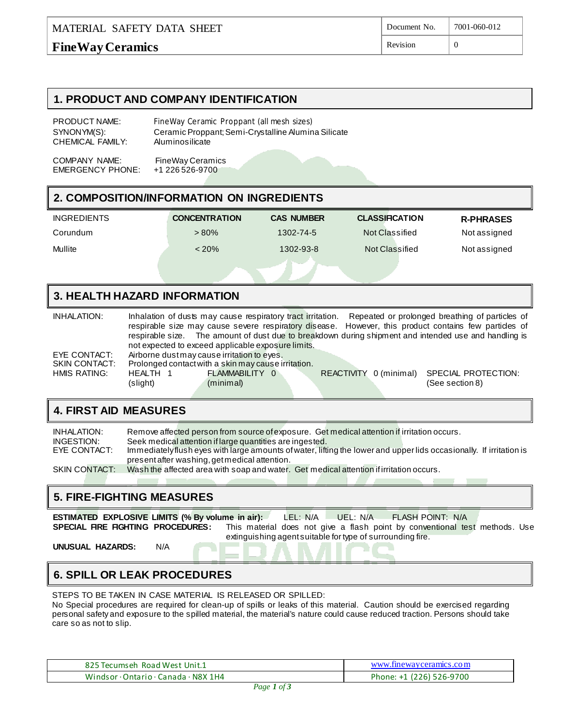#### MATERIAL SAFETY DATA SHEET **FineWay Ceramics** Document No. 7001-060-012 Revision  $\vert 0 \vert$

#### **1. PRODUCT AND COMPANY IDENTIFICATION**

| PRODUCT NAME:    | FineWay Ceramic Proppant (all mesh sizes)           |
|------------------|-----------------------------------------------------|
| SYNONYM(S):      | Ceramic Proppant; Semi-Crystalline Alumina Silicate |
| CHEMICAL FAMILY: | Aluminosilicate                                     |
|                  |                                                     |

COMPANY NAME: FineWay Ceramics<br>EMERGENCY PHONE: +1 226 526-9700 EMERGENCY PHONE:

# **2. COMPOSITION/INFORMATION ON INGREDIENTS**

| <b>INGREDIENTS</b> | <b>CONCENTRATION</b> | <b>CAS NUMBER</b> | <b>CLASSIFICATION</b> | <b>R-PHRASES</b> |
|--------------------|----------------------|-------------------|-----------------------|------------------|
| Corundum           | $>80\%$              | 1302-74-5         | Not Classified        | Not assigned     |
| Mullite            | $< 20\%$             | 1302-93-8         | Not Classified        | Not assigned     |
|                    |                      |                   |                       |                  |

### **3. HEALTH HAZARD INFORMATION**

| INHALATION:   |                      |                                                     |                        | Inhalation of dusts may cause respiratory tract irritation. Repeated or prolonged breathing of particles of<br>respirable size may cause severe respiratory disease. However, this product contains few partides of<br>respirable size. The amount of dust due to breakdown during shipment and intended use and handling is |
|---------------|----------------------|-----------------------------------------------------|------------------------|------------------------------------------------------------------------------------------------------------------------------------------------------------------------------------------------------------------------------------------------------------------------------------------------------------------------------|
|               |                      | not expected to exceed applicable exposure limits.  |                        |                                                                                                                                                                                                                                                                                                                              |
| EYE CONTACT:  |                      | Airborne dust may cause irritation to eyes.         |                        |                                                                                                                                                                                                                                                                                                                              |
| SKIN CONTACT: |                      | Prolonged contact with a skin may cause irritation. |                        |                                                                                                                                                                                                                                                                                                                              |
| HMIS RATING:  | HEALTH 1<br>(slight) | FLAMMABILITY 0<br>(minimal)                         | REACTIVITY 0 (minimal) | SPECIAL PROTECTION:<br>(See section 8)                                                                                                                                                                                                                                                                                       |

## **4. FIRST AID MEASURES**

| INHALATION:          | Remove affected person from source of exposure. Get medical attention if irritation occurs.                         |
|----------------------|---------------------------------------------------------------------------------------------------------------------|
| INGESTION:           | Seek medical attention if large quantities are ingested.                                                            |
| EYE CONTACT:         | Immediately flush eyes with large amounts of water, lifting the lower and upper lids occasionally. If irritation is |
|                      | present after washing, get medical attention.                                                                       |
| <b>SKIN CONTACT:</b> | Wash the affected area with soap and water. Get medical attention if irritation occurs.                             |
|                      |                                                                                                                     |

### **5. FIRE-FIGHTING MEASURES**

**ESTIMATED EXPLOSIVE LIMITS (% By volume in air):** LEL: N/A UEL: N/A FLASH POINT: N/A<br>**SPECIAL FIRE FIGHTING PROCEDURES**: This material does not give a flash point by conventional te This material does not give a flash point by conventional test methods. Use extinguishing agent suitable for type of surrounding fire.

**UNUSUAL HAZARDS:** N/A

# **6. SPILL OR LEAK PROCEDURES**

STEPS TO BE TAKEN IN CASE MATERIAL IS RELEASED OR SPILLED:

No Special procedures are required for clean-up of spills or leaks of this material. Caution should be exercised regarding personal safety and exposure to the spilled material, the material's nature could cause reduced traction. Persons should take care so as not to slip.

| 825 Tecumseh, Road West, Unit.1      | www.finewayceramics.com  |
|--------------------------------------|--------------------------|
| Windsor · Ontario · Canada · N8X 1H4 | Phone: +1 (226) 526-9700 |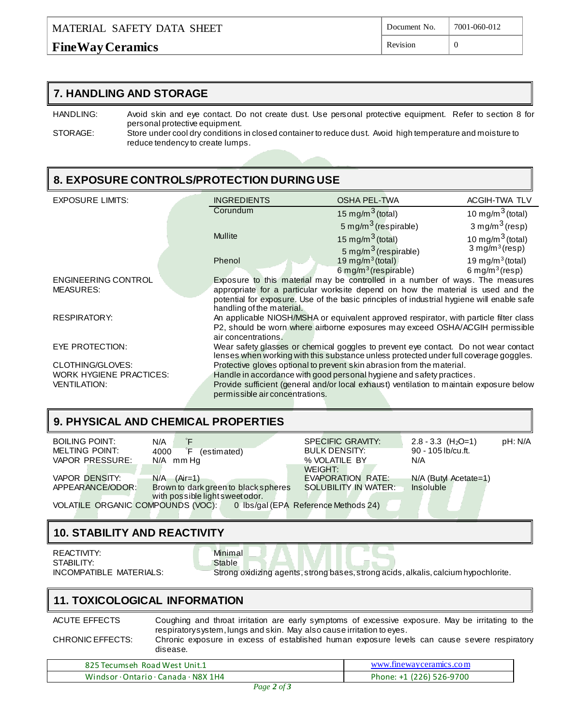# **FineWay Ceramics**

#### **7. HANDLING AND STORAGE**

HANDLING: Avoid skin and eye contact. Do not create dust. Use personal protective equipment. Refer to section 8 for personal protective equipment.

STORAGE: Store under cool dry conditions in closed container to reduce dust. Avoid high temperature and moisture to reduce tendency to create lumps.

## **8. EXPOSURE CONTROLS/PROTECTION DURING USE**

| <b>EXPOSURE LIMITS:</b>        | <b>INGREDIENTS</b>              | <b>OSHA PEL-TWA</b>                                                                                                                                                          | ACGIH-TWA TLV              |
|--------------------------------|---------------------------------|------------------------------------------------------------------------------------------------------------------------------------------------------------------------------|----------------------------|
|                                | Corundum                        | 15 mg/m <sup>3</sup> (total)                                                                                                                                                 | 10 mg/m $^3$ (total)       |
|                                |                                 | 5 mg/m <sup>3</sup> (respirable)                                                                                                                                             | 3 mg/m $^3$ (resp)         |
|                                | <b>Mullite</b>                  | 15 mg/m <sup>3</sup> (total)                                                                                                                                                 | 10 mg/m $^3$ (total)       |
|                                |                                 | 5 mg/m <sup>3</sup> (respirable)                                                                                                                                             | 3 mg/m <sup>3</sup> (resp) |
|                                | Phenol                          | 19 mg/m $3$ (total)                                                                                                                                                          | 19 mg/m $3$ (total)        |
|                                |                                 | $6$ mg/m <sup>3</sup> (respirable)                                                                                                                                           | 6 mg/m <sup>3</sup> (resp) |
| ENGINEERING CONTROL            |                                 | Exposure to this material may be controlled in a number of ways. The measures                                                                                                |                            |
| <b>MEASURES:</b>               |                                 | appropriate for a particular worksite depend on how the material is used and the                                                                                             |                            |
|                                |                                 | potential for exposure. Use of the basic principles of industrial hygiene will enable safe                                                                                   |                            |
|                                | handling of the material.       |                                                                                                                                                                              |                            |
| <b>RESPIRATORY:</b>            |                                 | An applicable NIOSH/MSHA or equivalent approved respirator, with particle filter class                                                                                       |                            |
|                                |                                 | P2, should be worn where airborne exposures may exceed OSHA/ACGIH permissible                                                                                                |                            |
|                                | air concentrations.             |                                                                                                                                                                              |                            |
| EYE PROTECTION:                |                                 | Wear safety glasses or chemical goggles to prevent eye contact. Do not wear contact<br>lenses when working with this substance unless protected under full coverage goggles. |                            |
| CLOTHING/GLOVES:               |                                 | Protective gloves optional to prevent skin abrasion from the material.                                                                                                       |                            |
| <b>WORK HYGIENE PRACTICES:</b> |                                 | Handle in accordance with good personal hygiene and safety practices.                                                                                                        |                            |
| <b>VENTILATION:</b>            |                                 | Provide sufficient (general and/or local exhaust) ventilation to maintain exposure below                                                                                     |                            |
|                                | permissible air concentrations. |                                                                                                                                                                              |                            |
|                                |                                 |                                                                                                                                                                              |                            |

# **9. PHYSICAL AND CHEMICAL PROPERTIES**

| <b>BOILING POINT:</b> | N/A                                                                    | <b>SPECIFIC GRAVITY:</b>    | $2.8 - 3.3$ (H <sub>2</sub> O=1) | pH: N/A |
|-----------------------|------------------------------------------------------------------------|-----------------------------|----------------------------------|---------|
| <b>MELTING POINT:</b> | 4000<br>εF<br>(estimated)                                              | <b>BULK DENSITY:</b>        | 90 - 105 lb/cu.ft.               |         |
| VAPOR PRESSURE:       | N/A mm Hq                                                              | % VOLATILE BY               | N/A                              |         |
|                       |                                                                        | WEIGHT:                     |                                  |         |
| <b>VAPOR DENSITY:</b> | $N/A$ $(Air=1)$                                                        | EVAPORATION RATE:           | N/A (Butyl Acetate=1)            |         |
| APPEARANCE/ODOR:      | Brown to dark green to black spheres                                   | <b>SOLUBILITY IN WATER:</b> | <b>Insoluble</b>                 |         |
|                       | with possible light sweet odor.                                        |                             |                                  |         |
|                       | VOLATILE ORGANIC COMPOUNDS (VOC): 0 lbs/gal (EPA Reference Methods 24) |                             |                                  |         |
|                       |                                                                        |                             |                                  |         |
|                       |                                                                        |                             |                                  |         |

# **10. STABILITY AND REACTIVITY**

REACTIVITY: White the Minimal STABILITY: STABILITY:

INCOMPATIBLE MATERIALS: Strong oxidizing agents, strong bases, strong acids, alkalis, calcium hypochlorite.

# **11. TOXICOLOGICAL INFORMATION**

ACUTE EFFECTS Coughing and throat irritation are early symptoms of excessive exposure. May be irritating to the respiratory system, lungs and skin. May also cause irritation to eyes.

CHRONIC EFFECTS: Chronic exposure in excess of established human exposure levels can cause severe respiratory disease.

| 825<br>Tecumseh Road West Unit.1     | www.finewayceramics.com  |
|--------------------------------------|--------------------------|
| Windsor · Ontario · Canada · N8X 1H4 | (226) 526-9700<br>Phone: |